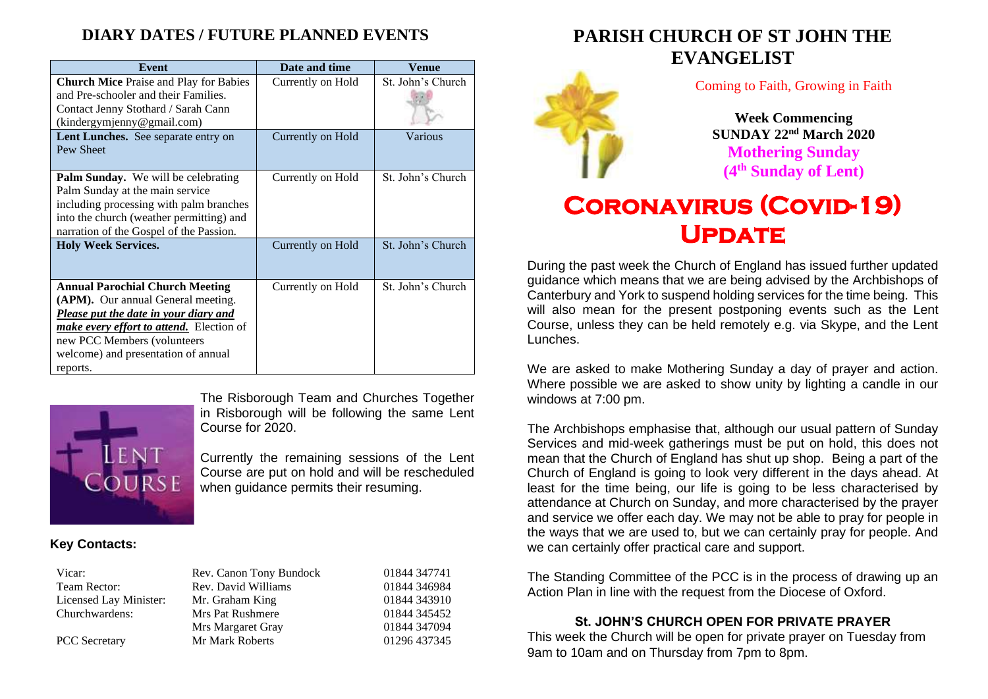### **DIARY DATES / FUTURE PLANNED EVENTS**

| Event                                                                                                                                                                                                                                                             | Date and time     | Venue             |
|-------------------------------------------------------------------------------------------------------------------------------------------------------------------------------------------------------------------------------------------------------------------|-------------------|-------------------|
| <b>Church Mice</b> Praise and Play for Babies<br>and Pre-schooler and their Families.<br>Contact Jenny Stothard / Sarah Cann<br>(kindergymjenny@gmail.com)                                                                                                        | Currently on Hold | St. John's Church |
| Lent Lunches. See separate entry on<br>Pew Sheet                                                                                                                                                                                                                  | Currently on Hold | Various           |
| Palm Sunday. We will be celebrating<br>Palm Sunday at the main service<br>including processing with palm branches<br>into the church (weather permitting) and<br>narration of the Gospel of the Passion.                                                          | Currently on Hold | St. John's Church |
| <b>Holy Week Services.</b>                                                                                                                                                                                                                                        | Currently on Hold | St. John's Church |
| <b>Annual Parochial Church Meeting</b><br>(APM). Our annual General meeting.<br><b>Please put the date in your diary and</b><br><i>make every effort to attend.</i> Election of<br>new PCC Members (volunteers<br>welcome) and presentation of annual<br>reports. | Currently on Hold | St. John's Church |



The Risborough Team and Churches Together in Risborough will be following the same Lent Course for 2020.

Currently the remaining sessions of the Lent Course are put on hold and will be rescheduled when guidance permits their resuming.

#### **Key Contacts:**

| Vicar:                 | Rev. Canon Tony Bundock | 01844 347741 |
|------------------------|-------------------------|--------------|
| Team Rector:           | Rev. David Williams     | 01844 346984 |
| Licensed Lay Minister: | Mr. Graham King         | 01844 343910 |
| Churchwardens:         | Mrs Pat Rushmere        | 01844 345452 |
|                        | Mrs Margaret Gray       | 01844 347094 |
| <b>PCC</b> Secretary   | Mr Mark Roberts         | 01296 437345 |

### **PARISH CHURCH OF ST JOHN THE EVANGELIST**



Coming to Faith, Growing in Faith

**Week Commencing SUNDAY 22nd March 2020 Mothering Sunday (4 th Sunday of Lent)**

# **Coronavirus (Covid-19)**  UPDATE

During the past week the Church of England has issued further updated guidance which means that we are being advised by the Archbishops of Canterbury and York to suspend holding services for the time being. This will also mean for the present postponing events such as the Lent Course, unless they can be held remotely e.g. via Skype, and the Lent Lunches.

We are asked to make Mothering Sunday a day of prayer and action. Where possible we are asked to show unity by lighting a candle in our windows at 7:00 pm.

The Archbishops emphasise that, although our usual pattern of Sunday Services and mid-week gatherings must be put on hold, this does not mean that the Church of England has shut up shop. Being a part of the Church of England is going to look very different in the days ahead. At least for the time being, our life is going to be less characterised by attendance at Church on Sunday, and more characterised by the prayer and service we offer each day. We may not be able to pray for people in the ways that we are used to, but we can certainly pray for people. And we can certainly offer practical care and support.

The Standing Committee of the PCC is in the process of drawing up an Action Plan in line with the request from the Diocese of Oxford.

#### **St. JOHN'S CHURCH OPEN FOR PRIVATE PRAYER**

This week the Church will be open for private prayer on Tuesday from 9am to 10am and on Thursday from 7pm to 8pm.